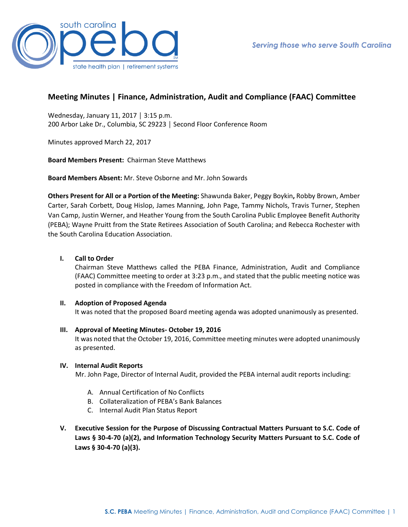

# **Meeting Minutes | Finance, Administration, Audit and Compliance (FAAC) Committee**

Wednesday, January 11, 2017 │ 3:15 p.m. 200 Arbor Lake Dr., Columbia, SC 29223 │ Second Floor Conference Room

Minutes approved March 22, 2017

**Board Members Present:** Chairman Steve Matthews

**Board Members Absent:** Mr. Steve Osborne and Mr. John Sowards

**Others Present for All or a Portion of the Meeting:** Shawunda Baker, Peggy Boykin**,** Robby Brown, Amber Carter, Sarah Corbett, Doug Hislop, James Manning, John Page, Tammy Nichols, Travis Turner, Stephen Van Camp, Justin Werner, and Heather Young from the South Carolina Public Employee Benefit Authority (PEBA); Wayne Pruitt from the State Retirees Association of South Carolina; and Rebecca Rochester with the South Carolina Education Association.

## **I. Call to Order**

Chairman Steve Matthews called the PEBA Finance, Administration, Audit and Compliance (FAAC) Committee meeting to order at 3:23 p.m., and stated that the public meeting notice was posted in compliance with the Freedom of Information Act.

### **II. Adoption of Proposed Agenda**

It was noted that the proposed Board meeting agenda was adopted unanimously as presented.

### **III. Approval of Meeting Minutes- October 19, 2016**

It was noted that the October 19, 2016, Committee meeting minutes were adopted unanimously as presented.

### **IV. Internal Audit Reports**

Mr. John Page, Director of Internal Audit, provided the PEBA internal audit reports including:

- A. Annual Certification of No Conflicts
- B. Collateralization of PEBA's Bank Balances
- C. Internal Audit Plan Status Report
- **V. Executive Session for the Purpose of Discussing Contractual Matters Pursuant to S.C. Code of Laws § 30-4-70 (a)(2), and Information Technology Security Matters Pursuant to S.C. Code of Laws § 30-4-70 (a)(3).**